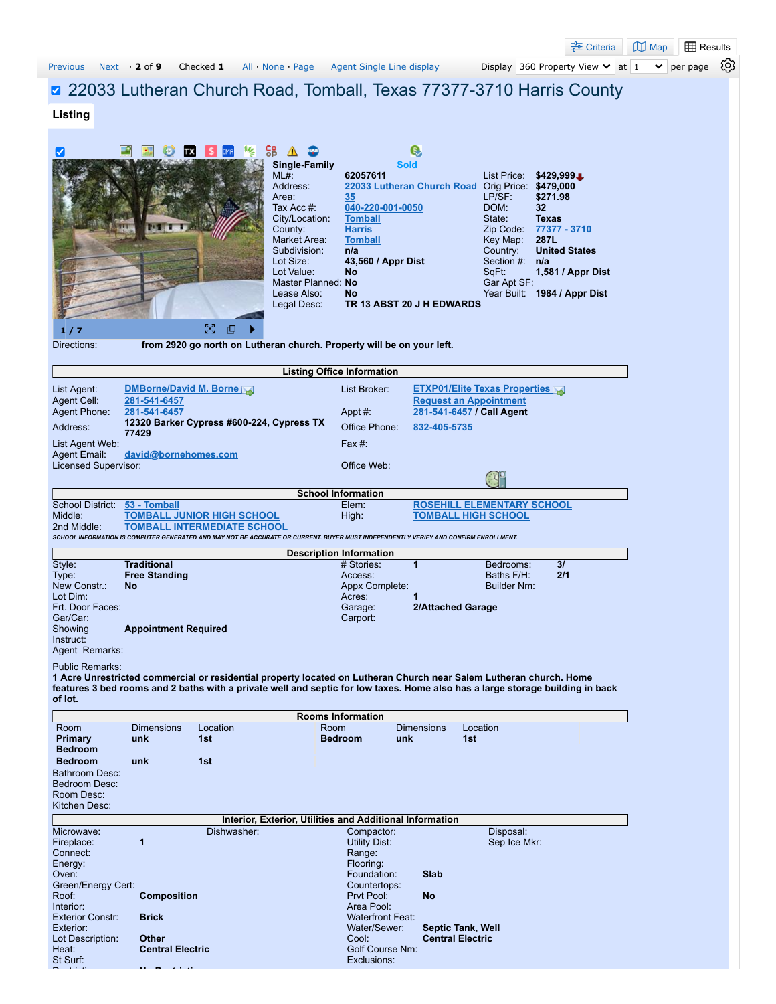|                                        |                                            |                                                                  |                                  |                                                                                                                                      |                          |                                                            | <u> ÷</u> Criteria                    | $\mathbb{U}$ Map<br><b>ED</b> Results |    |
|----------------------------------------|--------------------------------------------|------------------------------------------------------------------|----------------------------------|--------------------------------------------------------------------------------------------------------------------------------------|--------------------------|------------------------------------------------------------|---------------------------------------|---------------------------------------|----|
| <b>Previous</b>                        | Next $\cdot$ 2 of 9                        | Checked 1                                                        | All None Page                    | Agent Single Line display                                                                                                            |                          |                                                            | Display 360 Property View $\vee$ at 1 | $\checkmark$<br>per page              | છે |
|                                        |                                            |                                                                  |                                  |                                                                                                                                      |                          |                                                            |                                       |                                       |    |
|                                        |                                            |                                                                  |                                  | 22033 Lutheran Church Road, Tomball, Texas 77377-3710 Harris County                                                                  |                          |                                                            |                                       |                                       |    |
| Listing                                |                                            |                                                                  |                                  |                                                                                                                                      |                          |                                                            |                                       |                                       |    |
|                                        |                                            |                                                                  |                                  |                                                                                                                                      |                          |                                                            |                                       |                                       |    |
| է                                      |                                            | CMA                                                              | င္စဥ္                            |                                                                                                                                      | $\mathbf{C}$             |                                                            |                                       |                                       |    |
|                                        |                                            |                                                                  | <b>Single-Family</b><br>ML#:     | 62057611                                                                                                                             | <b>Sold</b>              | List Price:                                                | $$429,999 \text{L}$                   |                                       |    |
|                                        |                                            |                                                                  | Address:                         |                                                                                                                                      |                          | 22033 Lutheran Church Road Orig Price: \$479,000           |                                       |                                       |    |
|                                        |                                            |                                                                  | Area:                            | 35                                                                                                                                   |                          | LP/SF:<br>DOM:                                             | \$271.98                              |                                       |    |
|                                        |                                            |                                                                  | Tax Acc #:<br>City/Location:     | 040-220-001-0050<br><b>Tomball</b>                                                                                                   |                          | State:                                                     | 32<br><b>Texas</b>                    |                                       |    |
|                                        |                                            |                                                                  | County:                          | <b>Harris</b>                                                                                                                        |                          |                                                            | Zip Code: 77377 - 3710                |                                       |    |
|                                        |                                            |                                                                  | Market Area:<br>Subdivision:     | <b>Tomball</b><br>n/a                                                                                                                |                          | Key Map:<br>Country:                                       | 287L<br><b>United States</b>          |                                       |    |
|                                        |                                            |                                                                  | Lot Size:                        | 43,560 / Appr Dist                                                                                                                   |                          | Section $#: n/a$                                           |                                       |                                       |    |
|                                        |                                            |                                                                  | Lot Value:<br>Master Planned: No | <b>No</b>                                                                                                                            |                          | SqFt:<br>Gar Apt SF:                                       | 1,581 / Appr Dist                     |                                       |    |
|                                        |                                            |                                                                  | Lease Also:                      | No                                                                                                                                   |                          |                                                            | Year Built: 1984 / Appr Dist          |                                       |    |
|                                        |                                            |                                                                  | Legal Desc:                      | TR 13 ABST 20 J H EDWARDS                                                                                                            |                          |                                                            |                                       |                                       |    |
|                                        |                                            | $\frac{8}{2}$<br>呾                                               |                                  |                                                                                                                                      |                          |                                                            |                                       |                                       |    |
| 1/7<br>Directions:                     |                                            |                                                                  |                                  | from 2920 go north on Lutheran church. Property will be on your left.                                                                |                          |                                                            |                                       |                                       |    |
|                                        |                                            |                                                                  |                                  |                                                                                                                                      |                          |                                                            |                                       |                                       |    |
|                                        |                                            |                                                                  |                                  | <b>Listing Office Information</b>                                                                                                    |                          |                                                            |                                       |                                       |    |
| List Agent:                            | <b>DMBorne/David M. Borne</b>              |                                                                  |                                  | List Broker:                                                                                                                         |                          | <b>ETXP01/Elite Texas Properties</b>                       |                                       |                                       |    |
| Agent Cell:<br><b>Agent Phone:</b>     | 281-541-6457<br>281-541-6457               |                                                                  |                                  | Appt $#$ :                                                                                                                           |                          | <b>Request an Appointment</b><br>281-541-6457 / Call Agent |                                       |                                       |    |
| Address:                               |                                            | 12320 Barker Cypress #600-224, Cypress TX                        |                                  | Office Phone:                                                                                                                        | 832-405-5735             |                                                            |                                       |                                       |    |
| List Agent Web:                        | 77429                                      |                                                                  |                                  | Fax $#$ :                                                                                                                            |                          |                                                            |                                       |                                       |    |
| Agent Email:                           | david@bornehomes.com                       |                                                                  |                                  |                                                                                                                                      |                          |                                                            |                                       |                                       |    |
| Licensed Supervisor:                   |                                            |                                                                  |                                  | Office Web:                                                                                                                          |                          |                                                            |                                       |                                       |    |
|                                        |                                            |                                                                  |                                  |                                                                                                                                      |                          |                                                            |                                       |                                       |    |
| School District: 53 - Tomball          |                                            |                                                                  |                                  | <b>School Information</b><br>Elem:                                                                                                   |                          | <b>ROSEHILL ELEMENTARY SCHOOL</b>                          |                                       |                                       |    |
| Middle:<br>2nd Middle:                 |                                            | <b>TOMBALL JUNIOR HIGH SCHOOL</b><br>TOMBALL INTERMEDIATE SCHOOL |                                  | High:                                                                                                                                |                          | <b>TOMBALL HIGH SCHOOL</b>                                 |                                       |                                       |    |
|                                        |                                            |                                                                  |                                  | SCHOOL INFORMATION IS COMPUTER GENERATED AND MAY NOT BE ACCURATE OR CURRENT. BUYER MUST INDEPENDENTLY VERIFY AND CONFIRM ENROLLMENT. |                          |                                                            |                                       |                                       |    |
|                                        |                                            |                                                                  |                                  | <b>Description Information</b>                                                                                                       |                          |                                                            |                                       |                                       |    |
| Style:<br>Type:                        | <b>Traditional</b><br><b>Free Standing</b> |                                                                  |                                  | # Stories:<br>Access:                                                                                                                | $\blacktriangleleft$     | Bedrooms:<br>Baths F/H:                                    | 31<br>2/1                             |                                       |    |
| New Constr.:                           | <b>No</b>                                  |                                                                  |                                  | Appx Complete:                                                                                                                       |                          | <b>Builder Nm:</b>                                         |                                       |                                       |    |
| Lot Dim:<br>Frt. Door Faces:           |                                            |                                                                  |                                  | Acres:<br>Garage:                                                                                                                    | 1<br>2/Attached Garage   |                                                            |                                       |                                       |    |
| Gar/Car:                               |                                            |                                                                  |                                  | Carport:                                                                                                                             |                          |                                                            |                                       |                                       |    |
| Showing                                | <b>Appointment Required</b>                |                                                                  |                                  |                                                                                                                                      |                          |                                                            |                                       |                                       |    |
| Instruct:<br>Agent Remarks:            |                                            |                                                                  |                                  |                                                                                                                                      |                          |                                                            |                                       |                                       |    |
| <b>Public Remarks:</b>                 |                                            |                                                                  |                                  |                                                                                                                                      |                          |                                                            |                                       |                                       |    |
|                                        |                                            |                                                                  |                                  | 1 Acre Unrestricted commercial or residential property located on Lutheran Church near Salem Lutheran church. Home                   |                          |                                                            |                                       |                                       |    |
| of lot.                                |                                            |                                                                  |                                  | features 3 bed rooms and 2 baths with a private well and septic for low taxes. Home also has a large storage building in back        |                          |                                                            |                                       |                                       |    |
|                                        |                                            |                                                                  |                                  | <b>Rooms Information</b>                                                                                                             |                          |                                                            |                                       |                                       |    |
| Room<br>Primary                        | <b>Dimensions</b><br>unk                   | Location<br>1st                                                  |                                  | Room<br><b>Bedroom</b>                                                                                                               | <b>Dimensions</b><br>unk | <b>Location</b><br>1st                                     |                                       |                                       |    |
| <b>Bedroom</b>                         |                                            |                                                                  |                                  |                                                                                                                                      |                          |                                                            |                                       |                                       |    |
| <b>Bedroom</b>                         | unk                                        | 1st                                                              |                                  |                                                                                                                                      |                          |                                                            |                                       |                                       |    |
| <b>Bathroom Desc:</b><br>Bedroom Desc: |                                            |                                                                  |                                  |                                                                                                                                      |                          |                                                            |                                       |                                       |    |
| Room Desc:                             |                                            |                                                                  |                                  |                                                                                                                                      |                          |                                                            |                                       |                                       |    |
| Kitchen Desc:                          |                                            |                                                                  |                                  |                                                                                                                                      |                          |                                                            |                                       |                                       |    |
| Microwave:                             |                                            | Dishwasher:                                                      |                                  | Interior, Exterior, Utilities and Additional Information<br>Compactor:                                                               |                          | Disposal:                                                  |                                       |                                       |    |
| Fireplace:                             | 1                                          |                                                                  |                                  | <b>Utility Dist:</b>                                                                                                                 |                          | Sep Ice Mkr:                                               |                                       |                                       |    |
| Connect:<br>Energy:                    |                                            |                                                                  |                                  | Range:<br>Flooring:                                                                                                                  |                          |                                                            |                                       |                                       |    |
| Oven:                                  |                                            |                                                                  |                                  | Foundation:                                                                                                                          | Slab                     |                                                            |                                       |                                       |    |
| Green/Energy Cert:                     |                                            |                                                                  |                                  | Countertops:                                                                                                                         |                          |                                                            |                                       |                                       |    |
| Roof:<br>Interior:                     | <b>Composition</b>                         |                                                                  |                                  | Prvt Pool:<br>Area Pool:                                                                                                             | <b>No</b>                |                                                            |                                       |                                       |    |
| <b>Exterior Constr:</b>                | <b>Brick</b>                               |                                                                  |                                  | <b>Waterfront Feat:</b>                                                                                                              |                          |                                                            |                                       |                                       |    |
| Exterior:<br>Lot Description:          | Other                                      |                                                                  |                                  | Water/Sewer:<br>Cool:                                                                                                                | <b>Central Electric</b>  | <b>Septic Tank, Well</b>                                   |                                       |                                       |    |
|                                        |                                            |                                                                  |                                  |                                                                                                                                      |                          |                                                            |                                       |                                       |    |

Heat: **Central Electric** Golf Course Nm: St Surf: Exclusions: Exclusions: Exclusions: Exclusions: Exclusions: Exclusions: Exclusions: Exclusions: Exclusions:

R t i ti **N R t i ti**